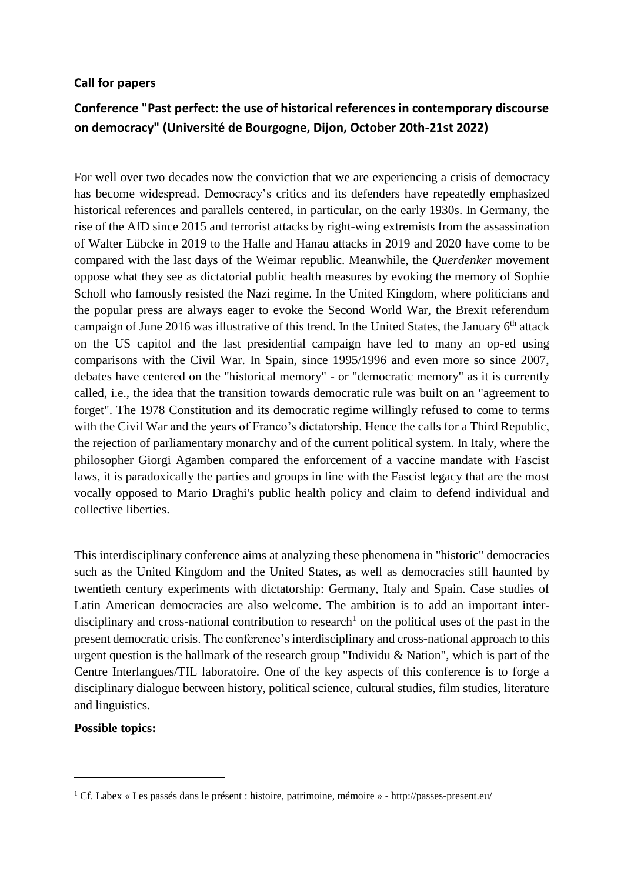### **Call for papers**

# **Conference "Past perfect: the use of historical references in contemporary discourse on democracy" (Université de Bourgogne, Dijon, October 20th-21st 2022)**

For well over two decades now the conviction that we are experiencing a crisis of democracy has become widespread. Democracy's critics and its defenders have repeatedly emphasized historical references and parallels centered, in particular, on the early 1930s. In Germany, the rise of the AfD since 2015 and terrorist attacks by right-wing extremists from the assassination of Walter Lübcke in 2019 to the Halle and Hanau attacks in 2019 and 2020 have come to be compared with the last days of the Weimar republic. Meanwhile, the *Querdenker* movement oppose what they see as dictatorial public health measures by evoking the memory of Sophie Scholl who famously resisted the Nazi regime. In the United Kingdom, where politicians and the popular press are always eager to evoke the Second World War, the Brexit referendum campaign of June 2016 was illustrative of this trend. In the United States, the January  $6<sup>th</sup>$  attack on the US capitol and the last presidential campaign have led to many an op-ed using comparisons with the Civil War. In Spain, since 1995/1996 and even more so since 2007, debates have centered on the "historical memory" - or "democratic memory" as it is currently called, i.e., the idea that the transition towards democratic rule was built on an "agreement to forget". The 1978 Constitution and its democratic regime willingly refused to come to terms with the Civil War and the years of Franco's dictatorship. Hence the calls for a Third Republic, the rejection of parliamentary monarchy and of the current political system. In Italy, where the philosopher Giorgi Agamben compared the enforcement of a vaccine mandate with Fascist laws, it is paradoxically the parties and groups in line with the Fascist legacy that are the most vocally opposed to Mario Draghi's public health policy and claim to defend individual and collective liberties.

This interdisciplinary conference aims at analyzing these phenomena in "historic" democracies such as the United Kingdom and the United States, as well as democracies still haunted by twentieth century experiments with dictatorship: Germany, Italy and Spain. Case studies of Latin American democracies are also welcome. The ambition is to add an important interdisciplinary and cross-national contribution to research<sup>1</sup> on the political uses of the past in the present democratic crisis. The conference's interdisciplinary and cross-national approach to this urgent question is the hallmark of the research group "Individu  $\&$  Nation", which is part of the Centre Interlangues/TIL laboratoire. One of the key aspects of this conference is to forge a disciplinary dialogue between history, political science, cultural studies, film studies, literature and linguistics.

## **Possible topics:**

1

<sup>1</sup> Cf. Labex « Les passés dans le présent : histoire, patrimoine, mémoire » - http://passes-present.eu/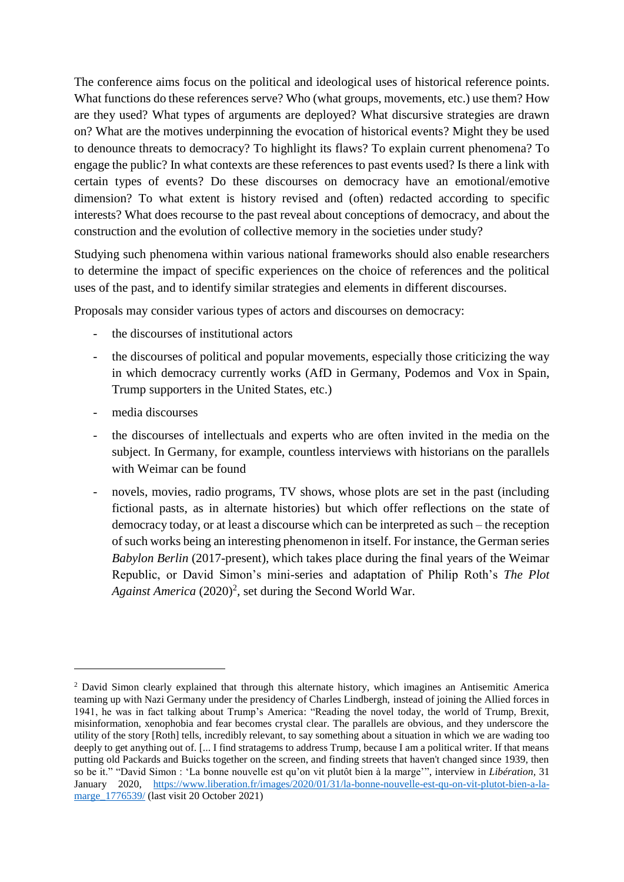The conference aims focus on the political and ideological uses of historical reference points. What functions do these references serve? Who (what groups, movements, etc.) use them? How are they used? What types of arguments are deployed? What discursive strategies are drawn on? What are the motives underpinning the evocation of historical events? Might they be used to denounce threats to democracy? To highlight its flaws? To explain current phenomena? To engage the public? In what contexts are these references to past events used? Is there a link with certain types of events? Do these discourses on democracy have an emotional/emotive dimension? To what extent is history revised and (often) redacted according to specific interests? What does recourse to the past reveal about conceptions of democracy, and about the construction and the evolution of collective memory in the societies under study?

Studying such phenomena within various national frameworks should also enable researchers to determine the impact of specific experiences on the choice of references and the political uses of the past, and to identify similar strategies and elements in different discourses.

Proposals may consider various types of actors and discourses on democracy:

- the discourses of institutional actors
- the discourses of political and popular movements, especially those criticizing the way in which democracy currently works (AfD in Germany, Podemos and Vox in Spain, Trump supporters in the United States, etc.)
- media discourses

1

- the discourses of intellectuals and experts who are often invited in the media on the subject. In Germany, for example, countless interviews with historians on the parallels with Weimar can be found
- novels, movies, radio programs, TV shows, whose plots are set in the past (including fictional pasts, as in alternate histories) but which offer reflections on the state of democracy today, or at least a discourse which can be interpreted as such – the reception of such works being an interesting phenomenon in itself. For instance, the German series *Babylon Berlin* (2017-present)*,* which takes place during the final years of the Weimar Republic, or David Simon's mini-series and adaptation of Philip Roth's *The Plot*  Against America (2020)<sup>2</sup>, set during the Second World War.

<sup>&</sup>lt;sup>2</sup> David Simon clearly explained that through this alternate history, which imagines an Antisemitic America teaming up with Nazi Germany under the presidency of Charles Lindbergh, instead of joining the Allied forces in 1941, he was in fact talking about Trump's America: "Reading the novel today, the world of Trump, Brexit, misinformation, xenophobia and fear becomes crystal clear. The parallels are obvious, and they underscore the utility of the story [Roth] tells, incredibly relevant, to say something about a situation in which we are wading too deeply to get anything out of. [... I find stratagems to address Trump, because I am a political writer. If that means putting old Packards and Buicks together on the screen, and finding streets that haven't changed since 1939, then so be it." "David Simon : 'La bonne nouvelle est qu'on vit plutôt bien à la marge'", interview in *Libération,* 31 January 2020, [https://www.liberation.fr/images/2020/01/31/la-bonne-nouvelle-est-qu-on-vit-plutot-bien-a-la](https://www.liberation.fr/images/2020/01/31/la-bonne-nouvelle-est-qu-on-vit-plutot-bien-a-la-marge_1776539/)marge 1776539/ (last visit 20 October 2021)